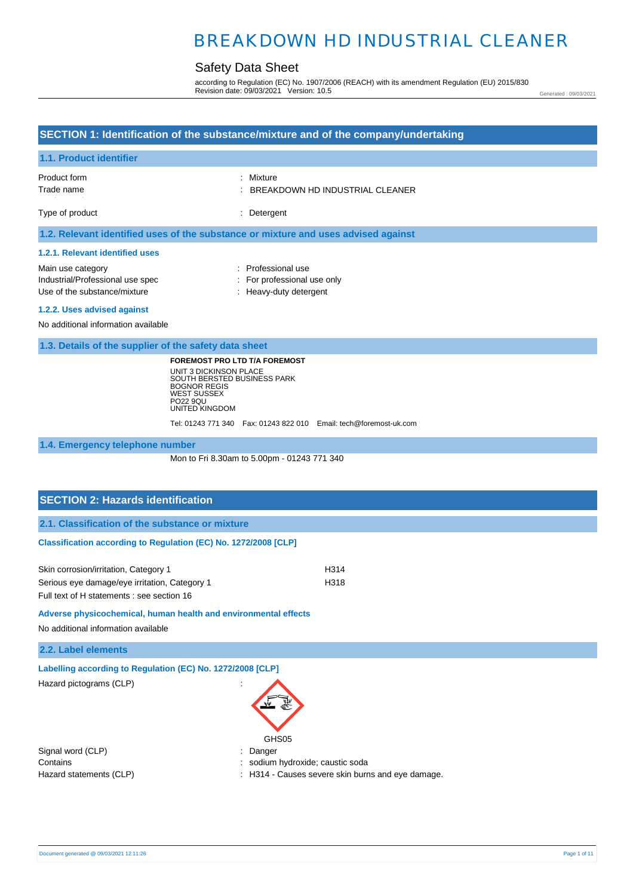## Safety Data Sheet

according to Regulation (EC) No. 1907/2006 (REACH) with its amendment Regulation (EU) 2015/830 Revision date: 09/03/2021 Version: 10.5

Generated : 09/03/2021

| SECTION 1: Identification of the substance/mixture and of the company/undertaking                                                                                                                                                              |                                                                                                             |  |
|------------------------------------------------------------------------------------------------------------------------------------------------------------------------------------------------------------------------------------------------|-------------------------------------------------------------------------------------------------------------|--|
| 1.1. Product identifier                                                                                                                                                                                                                        |                                                                                                             |  |
| Product form<br>Trade name                                                                                                                                                                                                                     | Mixture<br>BREAKDOWN HD INDUSTRIAL CLEANER                                                                  |  |
| Type of product                                                                                                                                                                                                                                | Detergent                                                                                                   |  |
| 1.2. Relevant identified uses of the substance or mixture and uses advised against                                                                                                                                                             |                                                                                                             |  |
| 1.2.1. Relevant identified uses                                                                                                                                                                                                                |                                                                                                             |  |
| Main use category<br>Industrial/Professional use spec<br>Use of the substance/mixture                                                                                                                                                          | : Professional use<br>: For professional use only<br>: Heavy-duty detergent                                 |  |
| 1.2.2. Uses advised against                                                                                                                                                                                                                    |                                                                                                             |  |
| No additional information available                                                                                                                                                                                                            |                                                                                                             |  |
| 1.3. Details of the supplier of the safety data sheet                                                                                                                                                                                          |                                                                                                             |  |
| UNIT 3 DICKINSON PLACE<br>SOUTH BERSTED BUSINESS PARK<br><b>BOGNOR REGIS</b><br><b>WEST SUSSEX</b><br>PO22 9QU<br>UNITED KINGDOM                                                                                                               | <b>FOREMOST PRO LTD T/A FOREMOST</b><br>Tel: 01243 771 340  Fax: 01243 822 010  Email: tech@foremost-uk.com |  |
| 1.4. Emergency telephone number                                                                                                                                                                                                                |                                                                                                             |  |
| Mon to Fri 8.30am to 5.00pm - 01243 771 340                                                                                                                                                                                                    |                                                                                                             |  |
|                                                                                                                                                                                                                                                |                                                                                                             |  |
| <b>SECTION 2: Hazards identification</b>                                                                                                                                                                                                       |                                                                                                             |  |
| 2.1. Classification of the substance or mixture                                                                                                                                                                                                |                                                                                                             |  |
| Classification according to Regulation (EC) No. 1272/2008 [CLP]                                                                                                                                                                                |                                                                                                             |  |
| Skin corrosion/irritation, Category 1<br>Serious eye damage/eye irritation, Category 1<br>Full text of H statements : see section 16<br>Adverse physicochemical, human health and environmental effects<br>No additional information available | H314<br>H318                                                                                                |  |
| 2.2. Label elements                                                                                                                                                                                                                            |                                                                                                             |  |
|                                                                                                                                                                                                                                                |                                                                                                             |  |

**Labelling according to Regulation (EC) No. 1272/2008 [CLP]** 

Hazard pictograms (CLP) in the state of the state of the state of the state of the state of the state of the state of the state of the state of the state of the state of the state of the state of the state of the state of

| GHS05 |
|-------|

Signal word (CLP)  $\qquad \qquad$ : Danger Contains : sodium hydroxide; caustic soda

- 
- Hazard statements (CLP)  $\qquad \qquad$ : H314 Causes severe skin burns and eye damage.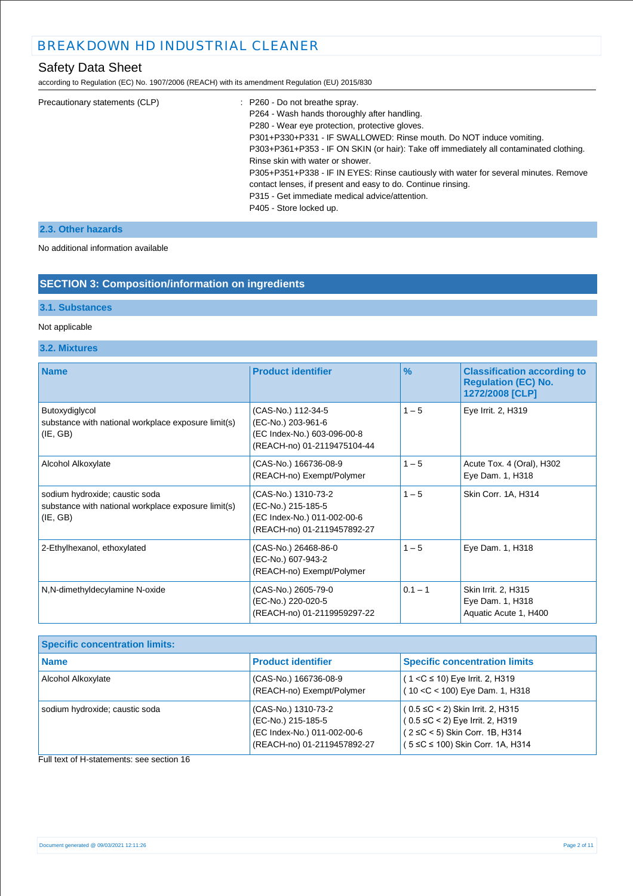## Safety Data Sheet

according to Regulation (EC) No. 1907/2006 (REACH) with its amendment Regulation (EU) 2015/830

| Precautionary statements (CLP) | : P260 - Do not breathe spray.                                                         |
|--------------------------------|----------------------------------------------------------------------------------------|
|                                | P264 - Wash hands thoroughly after handling.                                           |
|                                | P280 - Wear eye protection, protective gloves.                                         |
|                                | P301+P330+P331 - IF SWALLOWED: Rinse mouth. Do NOT induce vomiting.                    |
|                                | P303+P361+P353 - IF ON SKIN (or hair): Take off immediately all contaminated clothing. |
|                                | Rinse skin with water or shower.                                                       |
|                                | P305+P351+P338 - IF IN EYES: Rinse cautiously with water for several minutes. Remove   |
|                                | contact lenses, if present and easy to do. Continue rinsing.                           |
|                                | P315 - Get immediate medical advice/attention.                                         |
|                                | P405 - Store locked up.                                                                |
|                                |                                                                                        |

### **2.3. Other hazards**

#### No additional information available

## **SECTION 3: Composition/information on ingredients**

### **3.1. Substances**

### Not applicable

### **3.2. Mixtures**

| <b>Name</b>                                                                                       | <b>Product identifier</b>                                                                               | $\frac{9}{6}$ | <b>Classification according to</b><br><b>Regulation (EC) No.</b><br>1272/2008 [CLP] |
|---------------------------------------------------------------------------------------------------|---------------------------------------------------------------------------------------------------------|---------------|-------------------------------------------------------------------------------------|
| Butoxydiglycol<br>substance with national workplace exposure limit(s)<br>(IE, GB)                 | (CAS-No.) 112-34-5<br>(EC-No.) 203-961-6<br>(EC Index-No.) 603-096-00-8<br>(REACH-no) 01-2119475104-44  | $1 - 5$       | Eye Irrit. 2, H319                                                                  |
| Alcohol Alkoxylate                                                                                | (CAS-No.) 166736-08-9<br>(REACH-no) Exempt/Polymer                                                      | $1 - 5$       | Acute Tox. 4 (Oral), H302<br>Eye Dam. 1, H318                                       |
| sodium hydroxide; caustic soda<br>substance with national workplace exposure limit(s)<br>(IE, GB) | (CAS-No.) 1310-73-2<br>(EC-No.) 215-185-5<br>(EC Index-No.) 011-002-00-6<br>(REACH-no) 01-2119457892-27 | $1 - 5$       | Skin Corr. 1A, H314                                                                 |
| 2-Ethylhexanol, ethoxylated                                                                       | (CAS-No.) 26468-86-0<br>(EC-No.) 607-943-2<br>(REACH-no) Exempt/Polymer                                 | $1 - 5$       | Eye Dam. 1, H318                                                                    |
| N,N-dimethyldecylamine N-oxide                                                                    | (CAS-No.) 2605-79-0<br>(EC-No.) 220-020-5<br>(REACH-no) 01-2119959297-22                                | $0.1 - 1$     | Skin Irrit. 2, H315<br>Eye Dam. 1, H318<br>Aquatic Acute 1, H400                    |

| <b>Specific concentration limits:</b> |                                                                                                         |                                                                                                                                                       |
|---------------------------------------|---------------------------------------------------------------------------------------------------------|-------------------------------------------------------------------------------------------------------------------------------------------------------|
| <b>Name</b>                           | <b>Product identifier</b>                                                                               | <b>Specific concentration limits</b>                                                                                                                  |
| Alcohol Alkoxylate                    | (CAS-No.) 166736-08-9<br>(REACH-no) Exempt/Polymer                                                      | $(1 < C \le 10)$ Eye Irrit. 2, H319<br>$(10 < C < 100)$ Eye Dam. 1, H318                                                                              |
| sodium hydroxide; caustic soda        | (CAS-No.) 1310-73-2<br>(EC-No.) 215-185-5<br>(EC Index-No.) 011-002-00-6<br>(REACH-no) 01-2119457892-27 | $(0.5 \leq C < 2)$ Skin Irrit. 2, H315<br>$(0.5 \le C < 2)$ Eye Irrit. 2, H319<br>(2 ≤C < 5) Skin Corr. 1B, H314<br>( 5 ≤C ≤ 100) Skin Corr. 1A, H314 |

Full text of H-statements: see section 16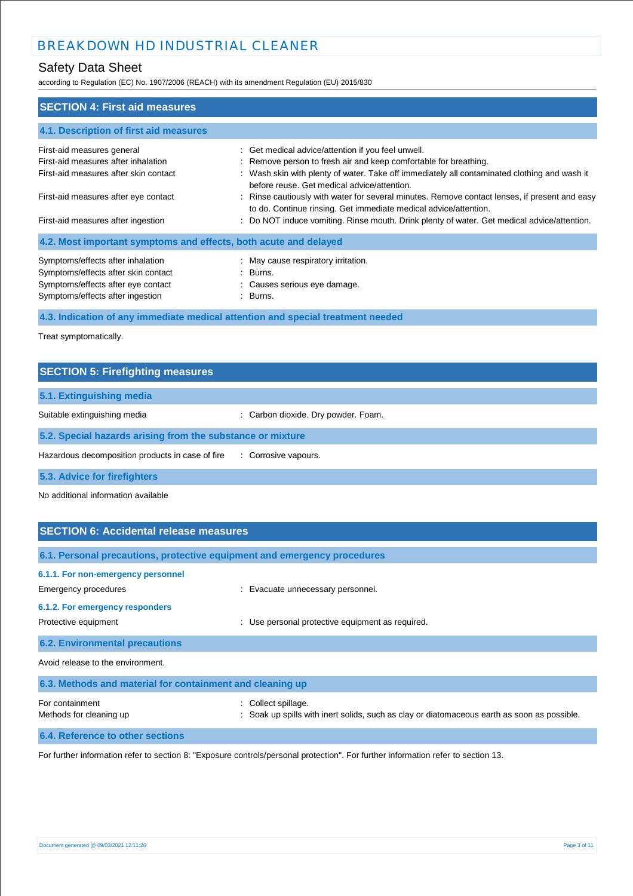## Safety Data Sheet

according to Regulation (EC) No. 1907/2006 (REACH) with its amendment Regulation (EU) 2015/830

| <b>SECTION 4: First aid measures</b>                             |                                                                                                                                                                   |
|------------------------------------------------------------------|-------------------------------------------------------------------------------------------------------------------------------------------------------------------|
| 4.1. Description of first aid measures                           |                                                                                                                                                                   |
| First-aid measures general                                       | : Get medical advice/attention if you feel unwell.                                                                                                                |
| First-aid measures after inhalation                              | : Remove person to fresh air and keep comfortable for breathing.                                                                                                  |
| First-aid measures after skin contact                            | : Wash skin with plenty of water. Take off immediately all contaminated clothing and wash it<br>before reuse. Get medical advice/attention.                       |
| First-aid measures after eye contact                             | : Rinse cautiously with water for several minutes. Remove contact lenses, if present and easy<br>to do. Continue rinsing. Get immediate medical advice/attention. |
| First-aid measures after ingestion                               | : Do NOT induce vomiting. Rinse mouth. Drink plenty of water. Get medical advice/attention.                                                                       |
| 4.2. Most important symptoms and effects, both acute and delayed |                                                                                                                                                                   |
| Symptoms/effects after inhalation                                | : May cause respiratory irritation.                                                                                                                               |
| Symptoms/effects after skin contact                              | : Burns.                                                                                                                                                          |
| Symptoms/effects after eye contact                               | : Causes serious eye damage.                                                                                                                                      |
| Symptoms/effects after ingestion                                 | : Burns.                                                                                                                                                          |

**4.3. Indication of any immediate medical attention and special treatment needed**

Treat symptomatically.

| <b>SECTION 5: Firefighting measures</b>                    |                                     |
|------------------------------------------------------------|-------------------------------------|
| 5.1. Extinguishing media                                   |                                     |
| Suitable extinguishing media                               | : Carbon dioxide. Dry powder. Foam. |
| 5.2. Special hazards arising from the substance or mixture |                                     |
| Hazardous decomposition products in case of fire           | : Corrosive vapours.                |
| 5.3. Advice for firefighters                               |                                     |

No additional information available

| <b>SECTION 6: Accidental release measures</b>                                                                         |                                                                                                                  |
|-----------------------------------------------------------------------------------------------------------------------|------------------------------------------------------------------------------------------------------------------|
|                                                                                                                       | 6.1. Personal precautions, protective equipment and emergency procedures                                         |
| 6.1.1. For non-emergency personnel<br>Emergency procedures<br>6.1.2. For emergency responders<br>Protective equipment | : Evacuate unnecessary personnel.<br>Use personal protective equipment as required.                              |
| <b>6.2. Environmental precautions</b>                                                                                 |                                                                                                                  |
| Avoid release to the environment.                                                                                     |                                                                                                                  |
| 6.3. Methods and material for containment and cleaning up                                                             |                                                                                                                  |
| For containment<br>Methods for cleaning up                                                                            | Collect spillage.<br>: Soak up spills with inert solids, such as clay or diatomaceous earth as soon as possible. |
| 6.4. Reference to other sections                                                                                      |                                                                                                                  |

For further information refer to section 8: "Exposure controls/personal protection". For further information refer to section 13.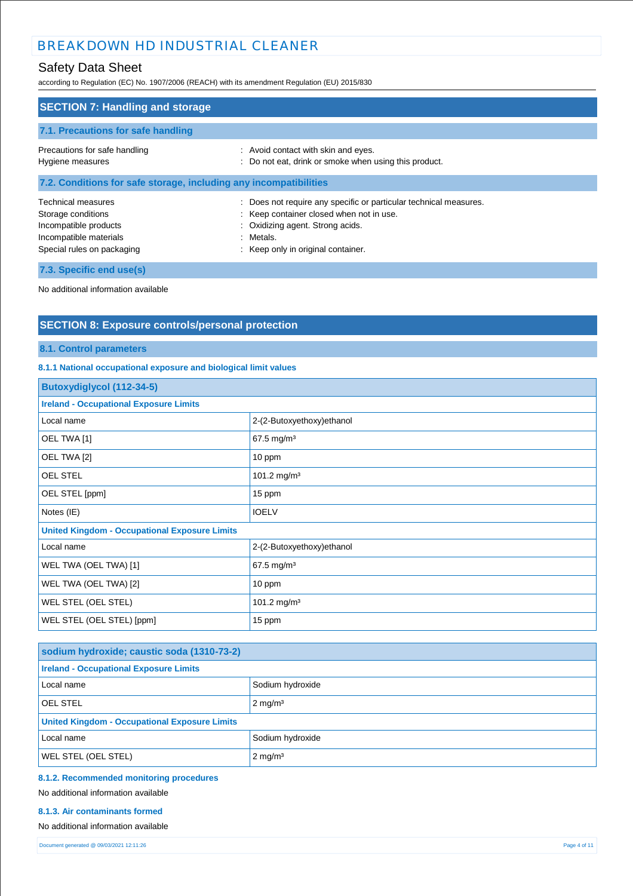## Safety Data Sheet

according to Regulation (EC) No. 1907/2006 (REACH) with its amendment Regulation (EU) 2015/830

| <b>SECTION 7: Handling and storage</b>                                                                                    |                                                                                                                                                                                                    |
|---------------------------------------------------------------------------------------------------------------------------|----------------------------------------------------------------------------------------------------------------------------------------------------------------------------------------------------|
| 7.1. Precautions for safe handling                                                                                        |                                                                                                                                                                                                    |
| Precautions for safe handling<br>Hygiene measures                                                                         | : Avoid contact with skin and eyes.<br>: Do not eat, drink or smoke when using this product.                                                                                                       |
| 7.2. Conditions for safe storage, including any incompatibilities                                                         |                                                                                                                                                                                                    |
| Technical measures<br>Storage conditions<br>Incompatible products<br>Incompatible materials<br>Special rules on packaging | Does not require any specific or particular technical measures.<br>: Keep container closed when not in use.<br>: Oxidizing agent. Strong acids.<br>: Metals.<br>: Keep only in original container. |
| 7.3. Specific end use(s)                                                                                                  |                                                                                                                                                                                                    |

No additional information available

## **SECTION 8: Exposure controls/personal protection**

### **8.1. Control parameters**

### **8.1.1 National occupational exposure and biological limit values**

| <b>Butoxydiglycol (112-34-5)</b>                     |                           |
|------------------------------------------------------|---------------------------|
| <b>Ireland - Occupational Exposure Limits</b>        |                           |
| Local name                                           | 2-(2-Butoxyethoxy)ethanol |
| OEL TWA [1]                                          | 67.5 mg/m <sup>3</sup>    |
| OEL TWA [2]                                          | 10 ppm                    |
| <b>OEL STEL</b>                                      | 101.2 mg/m <sup>3</sup>   |
| OEL STEL [ppm]                                       | 15 ppm                    |
| Notes (IE)                                           | <b>IOELV</b>              |
| <b>United Kingdom - Occupational Exposure Limits</b> |                           |
| Local name                                           | 2-(2-Butoxyethoxy)ethanol |
| WEL TWA (OEL TWA) [1]                                | 67.5 mg/m <sup>3</sup>    |
| WEL TWA (OEL TWA) [2]                                | 10 ppm                    |
| WEL STEL (OEL STEL)                                  | 101.2 mg/m <sup>3</sup>   |
| WEL STEL (OEL STEL) [ppm]                            | 15 ppm                    |

| sodium hydroxide; caustic soda (1310-73-2)           |                    |
|------------------------------------------------------|--------------------|
| <b>Ireland - Occupational Exposure Limits</b>        |                    |
| Local name                                           | Sodium hydroxide   |
| <b>OEL STEL</b>                                      | $2 \text{ mg/m}^3$ |
| <b>United Kingdom - Occupational Exposure Limits</b> |                    |
| Local name                                           | Sodium hydroxide   |
| <b>WEL STEL (OEL STEL)</b>                           | $2 \text{ mg/m}^3$ |

### **8.1.2. Recommended monitoring procedures**

No additional information available

#### **8.1.3. Air contaminants formed**

#### No additional information available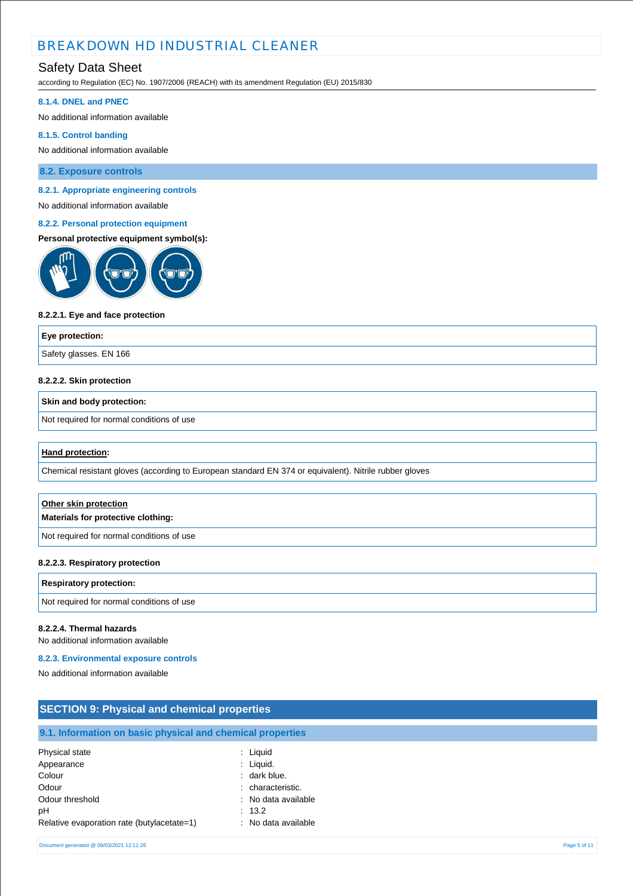## Safety Data Sheet

according to Regulation (EC) No. 1907/2006 (REACH) with its amendment Regulation (EU) 2015/830

#### **8.1.4. DNEL and PNEC**

No additional information available

#### **8.1.5. Control banding**

No additional information available

**8.2. Exposure controls**

#### **8.2.1. Appropriate engineering controls**

No additional information available

#### **8.2.2. Personal protection equipment**

### **Personal protective equipment symbol(s):**



#### **8.2.2.1. Eye and face protection**

**Eye protection:** Safety glasses. EN 166

#### **8.2.2.2. Skin protection**

### **Skin and body protection:**

Not required for normal conditions of use

#### **Hand protection:**

Chemical resistant gloves (according to European standard EN 374 or equivalent). Nitrile rubber gloves

| Other skin protection<br>Materials for protective clothing: |
|-------------------------------------------------------------|
| Not required for normal conditions of use                   |

#### **8.2.2.3. Respiratory protection**

# **Respiratory protection:** Not required for normal conditions of use

#### **8.2.2.4. Thermal hazards**

No additional information available

#### **8.2.3. Environmental exposure controls**

No additional information available

| <b>SECTION 9: Physical and chemical properties</b>                                                                     |                                                                                                                      |              |
|------------------------------------------------------------------------------------------------------------------------|----------------------------------------------------------------------------------------------------------------------|--------------|
| 9.1. Information on basic physical and chemical properties                                                             |                                                                                                                      |              |
| Physical state<br>Appearance<br>Colour<br>Odour<br>Odour threshold<br>рH<br>Relative evaporation rate (butylacetate=1) | : Liquid<br>$:$ Liquid.<br>: dark blue.<br>: characteristic.<br>: No data available<br>: 13.2<br>: No data available |              |
| Document generated @ 09/03/2021 12:11:26                                                                               |                                                                                                                      | Page 5 of 11 |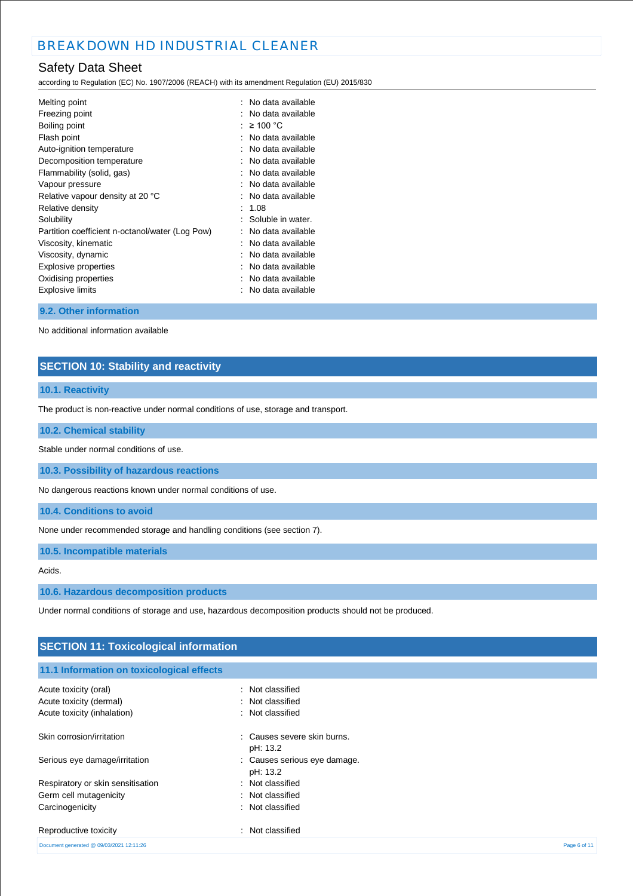## Safety Data Sheet

according to Regulation (EC) No. 1907/2006 (REACH) with its amendment Regulation (EU) 2015/830

| Melting point                                   | : No data available |
|-------------------------------------------------|---------------------|
| Freezing point                                  | No data available   |
| Boiling point                                   | $\geq 100$ °C       |
| Flash point                                     | No data available   |
| Auto-ignition temperature                       | No data available   |
| Decomposition temperature                       | No data available   |
| Flammability (solid, gas)                       | No data available   |
| Vapour pressure                                 | No data available   |
| Relative vapour density at 20 °C                | No data available   |
| Relative density                                | 1.08                |
| Solubility                                      | Soluble in water.   |
| Partition coefficient n-octanol/water (Log Pow) | No data available   |
| Viscosity, kinematic                            | No data available   |
| Viscosity, dynamic                              | No data available   |
| Explosive properties                            | No data available   |
| Oxidising properties                            | No data available   |
| <b>Explosive limits</b>                         | No data available   |
|                                                 |                     |

#### **9.2. Other information**

No additional information available

### **SECTION 10: Stability and reactivity**

### **10.1. Reactivity**

The product is non-reactive under normal conditions of use, storage and transport.

### **10.2. Chemical stability**

Stable under normal conditions of use.

**10.3. Possibility of hazardous reactions**

No dangerous reactions known under normal conditions of use.

**10.4. Conditions to avoid**

None under recommended storage and handling conditions (see section 7).

**10.5. Incompatible materials**

#### Acids.

**10.6. Hazardous decomposition products**

Under normal conditions of storage and use, hazardous decomposition products should not be produced.

| <b>SECTION 11: Toxicological information</b> |                                          |  |
|----------------------------------------------|------------------------------------------|--|
| 11.1 Information on toxicological effects    |                                          |  |
| Acute toxicity (oral)                        | : Not classified                         |  |
| Acute toxicity (dermal)                      | : Not classified                         |  |
| Acute toxicity (inhalation)                  | : Not classified                         |  |
| Skin corrosion/irritation                    | : Causes severe skin burns.<br>pH: 13.2  |  |
| Serious eye damage/irritation                | : Causes serious eye damage.<br>pH: 13.2 |  |
| Respiratory or skin sensitisation            | : Not classified                         |  |
| Germ cell mutagenicity                       | : Not classified                         |  |
| Carcinogenicity                              | : Not classified                         |  |
| Reproductive toxicity                        | Not classified<br>х.                     |  |
| Document generated @ 09/03/2021 12:11:26     | Page 6 of 11                             |  |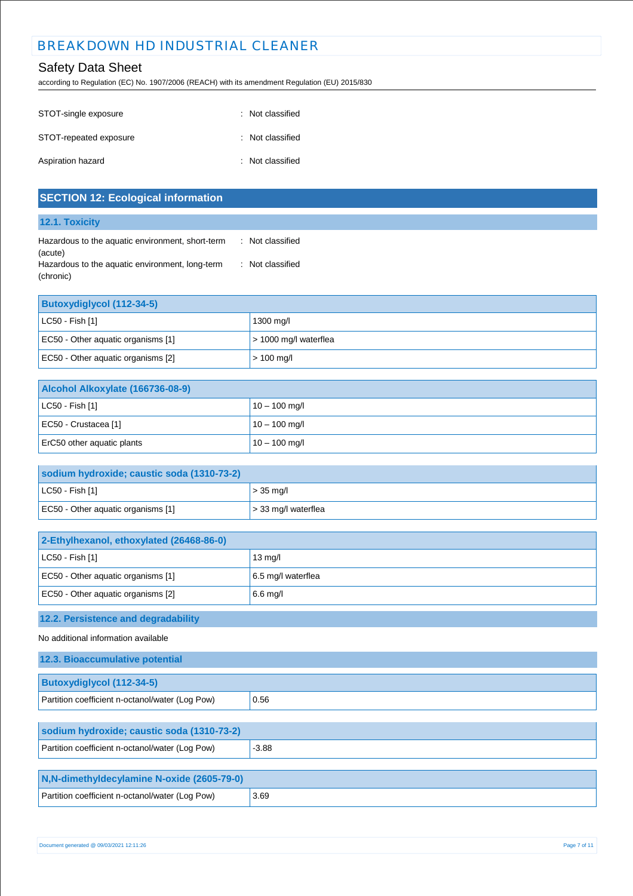## Safety Data Sheet

according to Regulation (EC) No. 1907/2006 (REACH) with its amendment Regulation (EU) 2015/830

| STOT-single exposure   | : Not classified |
|------------------------|------------------|
| STOT-repeated exposure | : Not classified |
| Aspiration hazard      | : Not classified |

| <b>SECTION 12: Ecological information</b>                               |                       |
|-------------------------------------------------------------------------|-----------------------|
| 12.1. Toxicity                                                          |                       |
| Hazardous to the aquatic environment, short-term                        | : Not classified      |
| (acute)<br>Hazardous to the aquatic environment, long-term<br>(chronic) | : Not classified      |
| <b>Butoxydiglycol (112-34-5)</b>                                        |                       |
| LC50 - Fish [1]                                                         | 1300 mg/l             |
| EC50 - Other aquatic organisms [1]                                      | > 1000 mg/l waterflea |
| EC50 - Other aquatic organisms [2]                                      | $> 100$ mg/l          |
| Alcohol Alkoxylate (166736-08-9)                                        |                       |
| LC50 - Fish [1]                                                         | $10 - 100$ mg/l       |
| EC50 - Crustacea [1]                                                    | $10 - 100$ mg/l       |
| ErC50 other aquatic plants                                              | $10 - 100$ mg/l       |
|                                                                         |                       |
| sodium hydroxide; caustic soda (1310-73-2)                              |                       |
| LC50 - Fish [1]                                                         | $> 35$ mg/l           |
| EC50 - Other aquatic organisms [1]                                      | > 33 mg/l waterflea   |
| 2-Ethylhexanol, ethoxylated (26468-86-0)                                |                       |
| LC50 - Fish [1]                                                         | 13 mg/l               |
| EC50 - Other aquatic organisms [1]                                      | 6.5 mg/l waterflea    |
| EC50 - Other aquatic organisms [2]                                      | 6.6 mg/l              |
| 12.2. Persistence and degradability                                     |                       |
| No additional information available                                     |                       |
| 12.3. Bioaccumulative potential                                         |                       |
| <b>Butoxydiglycol (112-34-5)</b>                                        |                       |
| Partition coefficient n-octanol/water (Log Pow)                         | 0.56                  |
| sodium hydroxide; caustic soda (1310-73-2)                              |                       |
| Partition coefficient n-octanol/water (Log Pow)                         | $-3.88$               |
| N,N-dimethyldecylamine N-oxide (2605-79-0)                              |                       |
| Partition coefficient n-octanol/water (Log Pow)                         | 3.69                  |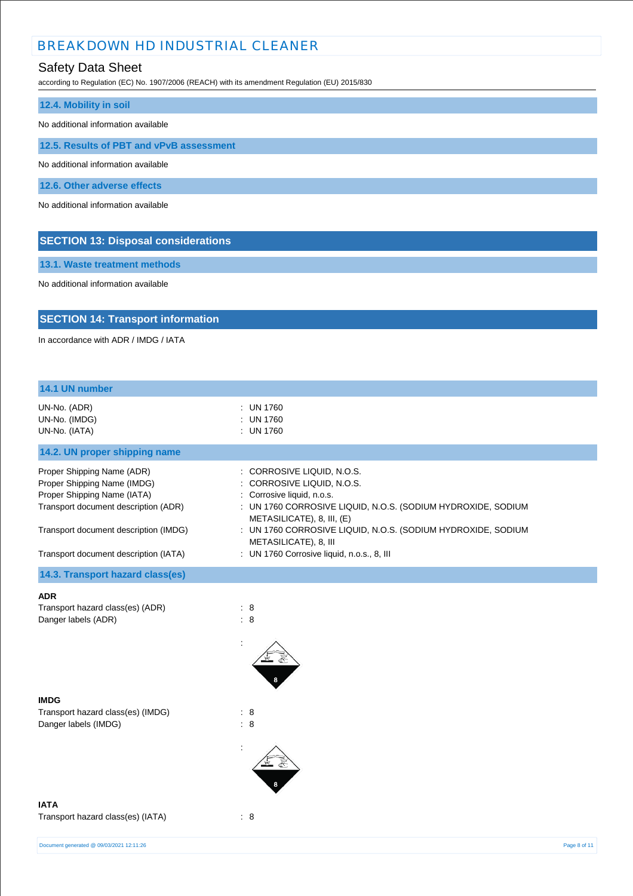## Safety Data Sheet

according to Regulation (EC) No. 1907/2006 (REACH) with its amendment Regulation (EU) 2015/830

| 12.4. Mobility in soil                     |
|--------------------------------------------|
|                                            |
| No additional information available        |
|                                            |
| 12.5. Results of PBT and vPvB assessment   |
|                                            |
| No additional information available        |
|                                            |
| 12.6. Other adverse effects                |
|                                            |
| No additional information available        |
|                                            |
|                                            |
|                                            |
| <b>SECTION 13: Disposal considerations</b> |
|                                            |

**13.1. Waste treatment methods**

No additional information available

## **SECTION 14: Transport information**

In accordance with ADR / IMDG / IATA

| 14.1 UN number                                                                                                                                                                                                     |                                                                                                                                                                                                                                                                                                                             |              |
|--------------------------------------------------------------------------------------------------------------------------------------------------------------------------------------------------------------------|-----------------------------------------------------------------------------------------------------------------------------------------------------------------------------------------------------------------------------------------------------------------------------------------------------------------------------|--------------|
| UN-No. (ADR)<br>UN-No. (IMDG)<br>UN-No. (IATA)                                                                                                                                                                     | : UN 1760<br>: UN 1760<br>: UN 1760                                                                                                                                                                                                                                                                                         |              |
| 14.2. UN proper shipping name                                                                                                                                                                                      |                                                                                                                                                                                                                                                                                                                             |              |
| Proper Shipping Name (ADR)<br>Proper Shipping Name (IMDG)<br>Proper Shipping Name (IATA)<br>Transport document description (ADR)<br>Transport document description (IMDG)<br>Transport document description (IATA) | : CORROSIVE LIQUID, N.O.S.<br>: CORROSIVE LIQUID, N.O.S.<br>: Corrosive liquid, n.o.s.<br>: UN 1760 CORROSIVE LIQUID, N.O.S. (SODIUM HYDROXIDE, SODIUM<br>METASILICATE), 8, III, (E)<br>: UN 1760 CORROSIVE LIQUID, N.O.S. (SODIUM HYDROXIDE, SODIUM<br>METASILICATE), 8, III<br>: UN 1760 Corrosive liquid, n.o.s., 8, III |              |
| 14.3. Transport hazard class(es)                                                                                                                                                                                   |                                                                                                                                                                                                                                                                                                                             |              |
| <b>ADR</b><br>Transport hazard class(es) (ADR)<br>Danger labels (ADR)                                                                                                                                              | : 8<br>$\colon 8$                                                                                                                                                                                                                                                                                                           |              |
| <b>IMDG</b><br>Transport hazard class(es) (IMDG)<br>Danger labels (IMDG)                                                                                                                                           | : 8<br>: 8                                                                                                                                                                                                                                                                                                                  |              |
| <b>IATA</b><br>Transport hazard class(es) (IATA)                                                                                                                                                                   | : 8                                                                                                                                                                                                                                                                                                                         |              |
| Document generated @ 09/03/2021 12:11:26                                                                                                                                                                           |                                                                                                                                                                                                                                                                                                                             | Page 8 of 11 |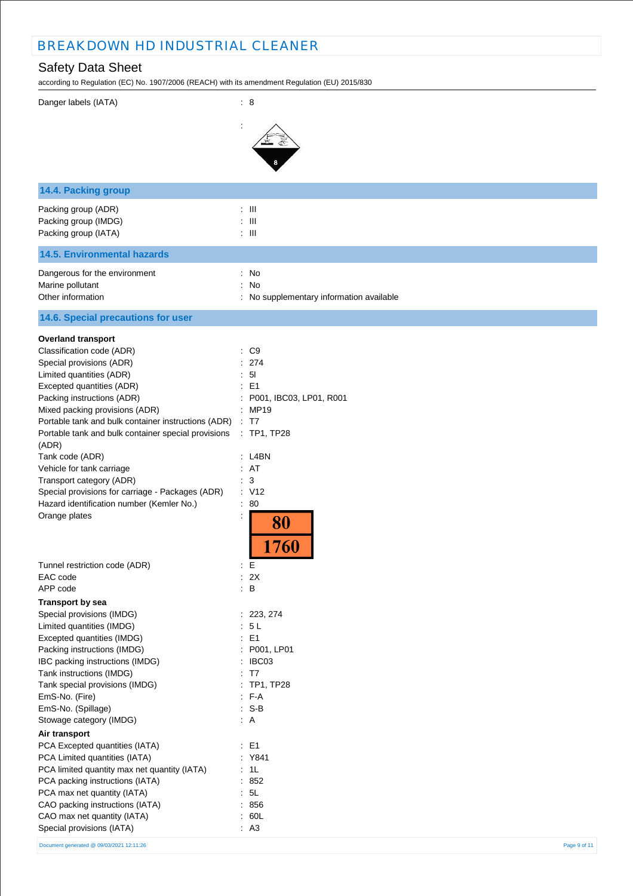## Safety Data Sheet

according to Regulation (EC) No. 1907/2006 (REACH) with its amendment Regulation (EU) 2015/830

| Danger labels (IATA)                                      | : 8                                      |
|-----------------------------------------------------------|------------------------------------------|
|                                                           |                                          |
|                                                           |                                          |
|                                                           |                                          |
| 14.4. Packing group                                       |                                          |
| Packing group (ADR)                                       | $:$ $\mathbb H$                          |
| Packing group (IMDG)                                      | $:$ $\mathbb{H}$                         |
| Packing group (IATA)                                      | $: \mathbb{H}$                           |
| <b>14.5. Environmental hazards</b>                        |                                          |
| Dangerous for the environment                             | : No                                     |
| Marine pollutant                                          | : No                                     |
| Other information                                         | : No supplementary information available |
| 14.6. Special precautions for user                        |                                          |
| <b>Overland transport</b>                                 |                                          |
| Classification code (ADR)                                 | $\therefore$ C9                          |
| Special provisions (ADR)                                  | : 274                                    |
| Limited quantities (ADR)                                  | : 51                                     |
| Excepted quantities (ADR)<br>Packing instructions (ADR)   | : E1<br>P001, IBC03, LP01, R001          |
| Mixed packing provisions (ADR)                            | : MP19                                   |
| Portable tank and bulk container instructions (ADR)       | : T7                                     |
| Portable tank and bulk container special provisions       | $:$ TP1, TP28                            |
| (ADR)                                                     |                                          |
| Tank code (ADR)                                           | : L4BN                                   |
| Vehicle for tank carriage                                 | : AT                                     |
| Transport category (ADR)                                  | : 3                                      |
| Special provisions for carriage - Packages (ADR)          | : V12                                    |
| Hazard identification number (Kemler No.)                 | : 80                                     |
| Orange plates                                             | 80<br>1760                               |
| Tunnel restriction code (ADR)                             | : E                                      |
| EAC code                                                  | : 2X                                     |
| APP code                                                  | $\therefore$ B                           |
| <b>Transport by sea</b>                                   |                                          |
| Special provisions (IMDG)                                 | : 223, 274                               |
| Limited quantities (IMDG)                                 | : 5L                                     |
| Excepted quantities (IMDG)<br>Packing instructions (IMDG) | $\therefore$ E1<br>: P001, LP01          |
| IBC packing instructions (IMDG)                           | : IBC03                                  |
| Tank instructions (IMDG)                                  | : T7                                     |
| Tank special provisions (IMDG)                            | : TP1, TP28                              |
| EmS-No. (Fire)                                            | $F-A$                                    |
| EmS-No. (Spillage)                                        | $: S-B$                                  |
| Stowage category (IMDG)                                   | $\therefore$ A                           |
| Air transport                                             |                                          |
| PCA Excepted quantities (IATA)                            | $\therefore$ E1                          |
| PCA Limited quantities (IATA)                             | : Y841                                   |
| PCA limited quantity max net quantity (IATA)              | : 1L                                     |
| PCA packing instructions (IATA)                           | : 852                                    |
| PCA max net quantity (IATA)                               | : 5L                                     |
| CAO packing instructions (IATA)                           | : 856                                    |
| CAO max net quantity (IATA)                               | : 60L                                    |
| Special provisions (IATA)                                 | : A3                                     |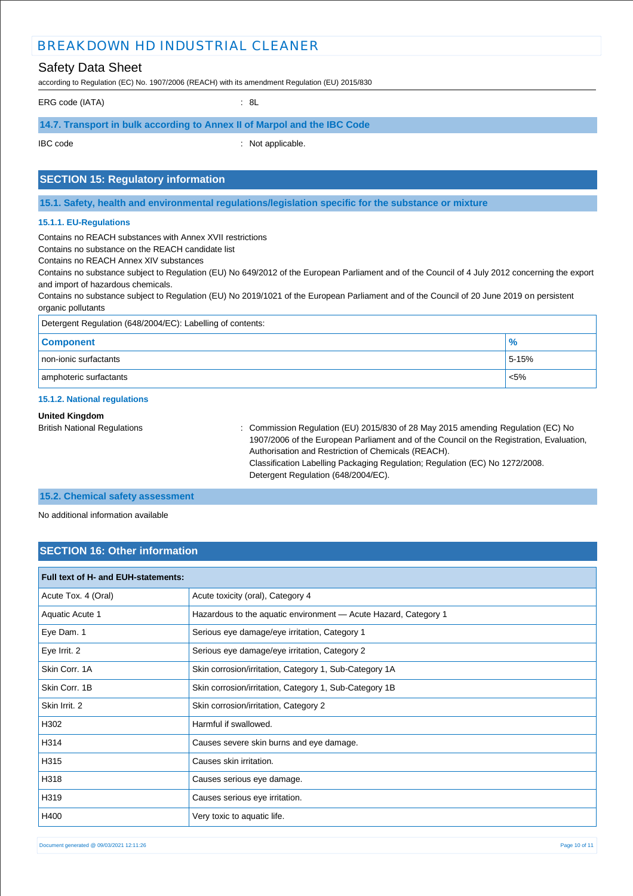### Safety Data Sheet

according to Regulation (EC) No. 1907/2006 (REACH) with its amendment Regulation (EU) 2015/830

ERG code (IATA) : 8L

### **14.7. Transport in bulk according to Annex II of Marpol and the IBC Code**

IBC code : Not applicable.

### **SECTION 15: Regulatory information**

**15.1. Safety, health and environmental regulations/legislation specific for the substance or mixture**

#### **15.1.1. EU-Regulations**

Contains no REACH substances with Annex XVII restrictions

Contains no substance on the REACH candidate list

Contains no REACH Annex XIV substances

Contains no substance subject to Regulation (EU) No 649/2012 of the European Parliament and of the Council of 4 July 2012 concerning the export and import of hazardous chemicals.

Contains no substance subject to Regulation (EU) No 2019/1021 of the European Parliament and of the Council of 20 June 2019 on persistent organic pollutants

| Detergent Regulation (648/2004/EC): Labelling of contents: |       |  |
|------------------------------------------------------------|-------|--|
| <b>Component</b>                                           | $\%$  |  |
| non-ionic surfactants                                      | 5-15% |  |
| amphoteric surfactants                                     | < 5%  |  |

#### **15.1.2. National regulations**

#### **United Kingdom**

British National Regulations : Commission Regulation (EU) 2015/830 of 28 May 2015 amending Regulation (EC) No 1907/2006 of the European Parliament and of the Council on the Registration, Evaluation, Authorisation and Restriction of Chemicals (REACH). Classification Labelling Packaging Regulation; Regulation (EC) No 1272/2008. Detergent Regulation (648/2004/EC).

#### **15.2. Chemical safety assessment**

No additional information available

### **SECTION 16: Other information**

| Full text of H- and EUH-statements: |                                                                 |
|-------------------------------------|-----------------------------------------------------------------|
| Acute Tox. 4 (Oral)                 | Acute toxicity (oral), Category 4                               |
| Aquatic Acute 1                     | Hazardous to the aquatic environment - Acute Hazard, Category 1 |
| Eye Dam. 1                          | Serious eye damage/eye irritation, Category 1                   |
| Eye Irrit. 2                        | Serious eye damage/eye irritation, Category 2                   |
| Skin Corr. 1A                       | Skin corrosion/irritation, Category 1, Sub-Category 1A          |
| Skin Corr. 1B                       | Skin corrosion/irritation, Category 1, Sub-Category 1B          |
| Skin Irrit. 2                       | Skin corrosion/irritation, Category 2                           |
| H302                                | Harmful if swallowed.                                           |
| H314                                | Causes severe skin burns and eye damage.                        |
| H315                                | Causes skin irritation.                                         |
| H318                                | Causes serious eye damage.                                      |
| H319                                | Causes serious eye irritation.                                  |
| H400                                | Very toxic to aquatic life.                                     |